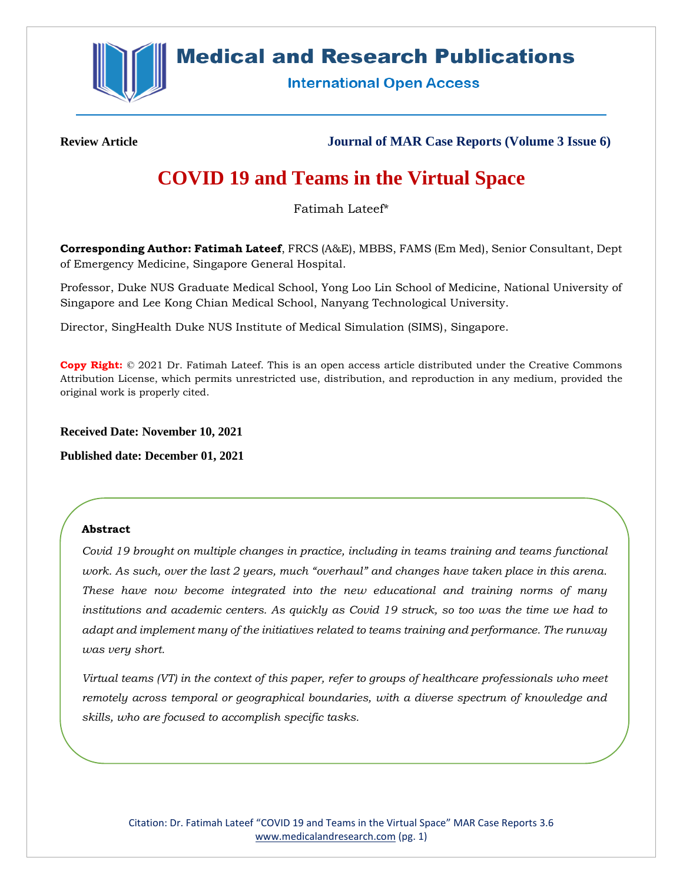

# **Medical and Research Publications**

**International Open Access** 

**Review Article Journal of MAR Case Reports (Volume 3 Issue 6)**

# **COVID 19 and Teams in the Virtual Space**

Fatimah Lateef\*

**Corresponding Author: Fatimah Lateef**, FRCS (A&E), MBBS, FAMS (Em Med), Senior Consultant, Dept of Emergency Medicine, Singapore General Hospital.

Professor, Duke NUS Graduate Medical School, Yong Loo Lin School of Medicine, National University of Singapore and Lee Kong Chian Medical School, Nanyang Technological University.

Director, SingHealth Duke NUS Institute of Medical Simulation (SIMS), Singapore.

**Copy Right:** © 2021 Dr. Fatimah Lateef. This is an open access article distributed under the Creative Commons Attribution License, which permits unrestricted use, distribution, and reproduction in any medium, provided the original work is properly cited.

**Received Date: November 10, 2021**

**Published date: December 01, 2021**

## **Abstract**

*Covid 19 brought on multiple changes in practice, including in teams training and teams functional work. As such, over the last 2 years, much "overhaul" and changes have taken place in this arena. These have now become integrated into the new educational and training norms of many institutions and academic centers. As quickly as Covid 19 struck, so too was the time we had to adapt and implement many of the initiatives related to teams training and performance. The runway was very short.*

*Virtual teams (VT) in the context of this paper, refer to groups of healthcare professionals who meet remotely across temporal or geographical boundaries, with a diverse spectrum of knowledge and skills, who are focused to accomplish specific tasks.*

Citation: Dr. Fatimah Lateef "COVID 19 and Teams in the Virtual Space" MAR Case Reports 3.6 [www.medicalandresearch.com](http://www.medicalandresearch.com/) (pg. 1)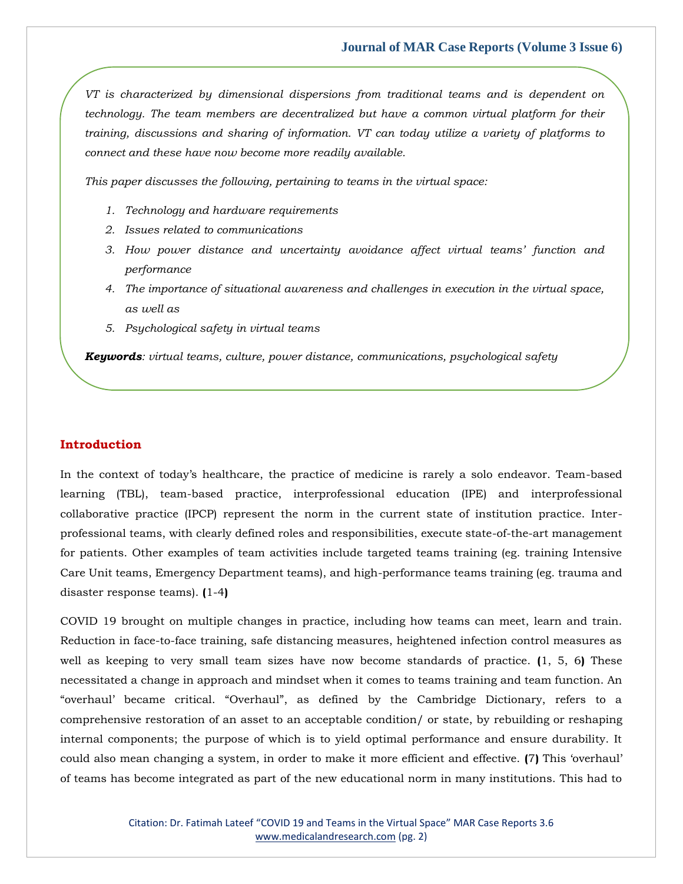*VT is characterized by dimensional dispersions from traditional teams and is dependent on technology. The team members are decentralized but have a common virtual platform for their training, discussions and sharing of information. VT can today utilize a variety of platforms to connect and these have now become more readily available.* 

*This paper discusses the following, pertaining to teams in the virtual space:*

- *1. Technology and hardware requirements*
- *2. Issues related to communications*
- *3. How power distance and uncertainty avoidance affect virtual teams' function and performance*
- *4. The importance of situational awareness and challenges in execution in the virtual space, as well as*
- *5. Psychological safety in virtual teams*

*Keywords: virtual teams, culture, power distance, communications, psychological safety*

## **Introduction**

In the context of today's healthcare, the practice of medicine is rarely a solo endeavor. Team-based learning (TBL), team-based practice, interprofessional education (IPE) and interprofessional collaborative practice (IPCP) represent the norm in the current state of institution practice. Interprofessional teams, with clearly defined roles and responsibilities, execute state-of-the-art management for patients. Other examples of team activities include targeted teams training (eg. training Intensive Care Unit teams, Emergency Department teams), and high-performance teams training (eg. trauma and disaster response teams). **(**1-4**)**

COVID 19 brought on multiple changes in practice, including how teams can meet, learn and train. Reduction in face-to-face training, safe distancing measures, heightened infection control measures as well as keeping to very small team sizes have now become standards of practice. **(**1, 5, 6**)** These necessitated a change in approach and mindset when it comes to teams training and team function. An "overhaul' became critical. "Overhaul", as defined by the Cambridge Dictionary, refers to a comprehensive restoration of an asset to an acceptable condition/ or state, by rebuilding or reshaping internal components; the purpose of which is to yield optimal performance and ensure durability. It could also mean changing a system, in order to make it more efficient and effective. **(**7**)** This 'overhaul' of teams has become integrated as part of the new educational norm in many institutions. This had to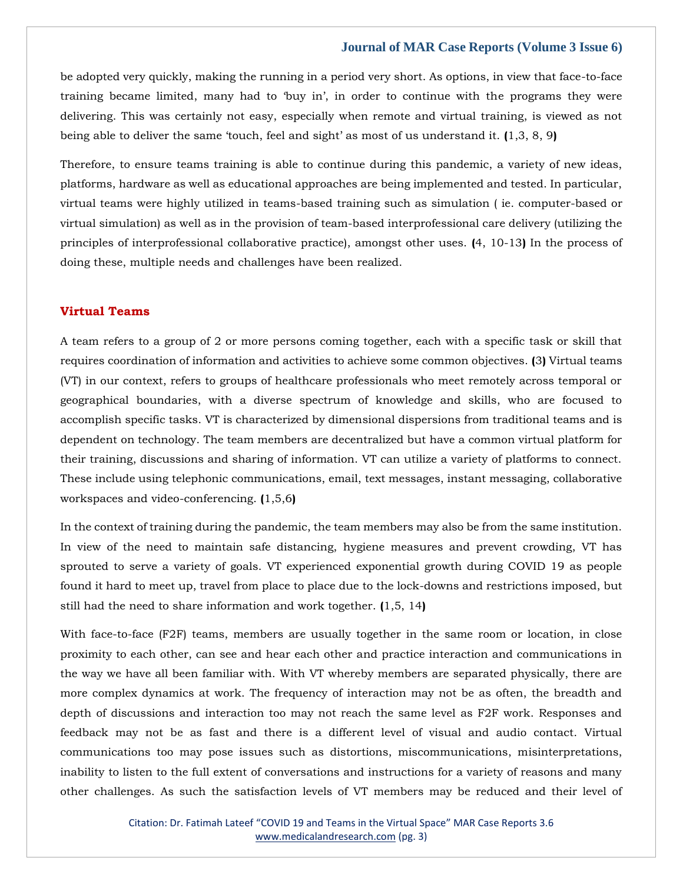be adopted very quickly, making the running in a period very short. As options, in view that face-to-face training became limited, many had to 'buy in', in order to continue with the programs they were delivering. This was certainly not easy, especially when remote and virtual training, is viewed as not being able to deliver the same 'touch, feel and sight' as most of us understand it. **(**1,3, 8, 9**)**

Therefore, to ensure teams training is able to continue during this pandemic, a variety of new ideas, platforms, hardware as well as educational approaches are being implemented and tested. In particular, virtual teams were highly utilized in teams-based training such as simulation ( ie. computer-based or virtual simulation) as well as in the provision of team-based interprofessional care delivery (utilizing the principles of interprofessional collaborative practice), amongst other uses. **(**4, 10-13**)** In the process of doing these, multiple needs and challenges have been realized.

## **Virtual Teams**

A team refers to a group of 2 or more persons coming together, each with a specific task or skill that requires coordination of information and activities to achieve some common objectives. **(**3**)** Virtual teams (VT) in our context, refers to groups of healthcare professionals who meet remotely across temporal or geographical boundaries, with a diverse spectrum of knowledge and skills, who are focused to accomplish specific tasks. VT is characterized by dimensional dispersions from traditional teams and is dependent on technology. The team members are decentralized but have a common virtual platform for their training, discussions and sharing of information. VT can utilize a variety of platforms to connect. These include using telephonic communications, email, text messages, instant messaging, collaborative workspaces and video-conferencing. **(**1,5,6**)**

In the context of training during the pandemic, the team members may also be from the same institution. In view of the need to maintain safe distancing, hygiene measures and prevent crowding, VT has sprouted to serve a variety of goals. VT experienced exponential growth during COVID 19 as people found it hard to meet up, travel from place to place due to the lock-downs and restrictions imposed, but still had the need to share information and work together. **(**1,5, 14**)**

With face-to-face (F2F) teams, members are usually together in the same room or location, in close proximity to each other, can see and hear each other and practice interaction and communications in the way we have all been familiar with. With VT whereby members are separated physically, there are more complex dynamics at work. The frequency of interaction may not be as often, the breadth and depth of discussions and interaction too may not reach the same level as F2F work. Responses and feedback may not be as fast and there is a different level of visual and audio contact. Virtual communications too may pose issues such as distortions, miscommunications, misinterpretations, inability to listen to the full extent of conversations and instructions for a variety of reasons and many other challenges. As such the satisfaction levels of VT members may be reduced and their level of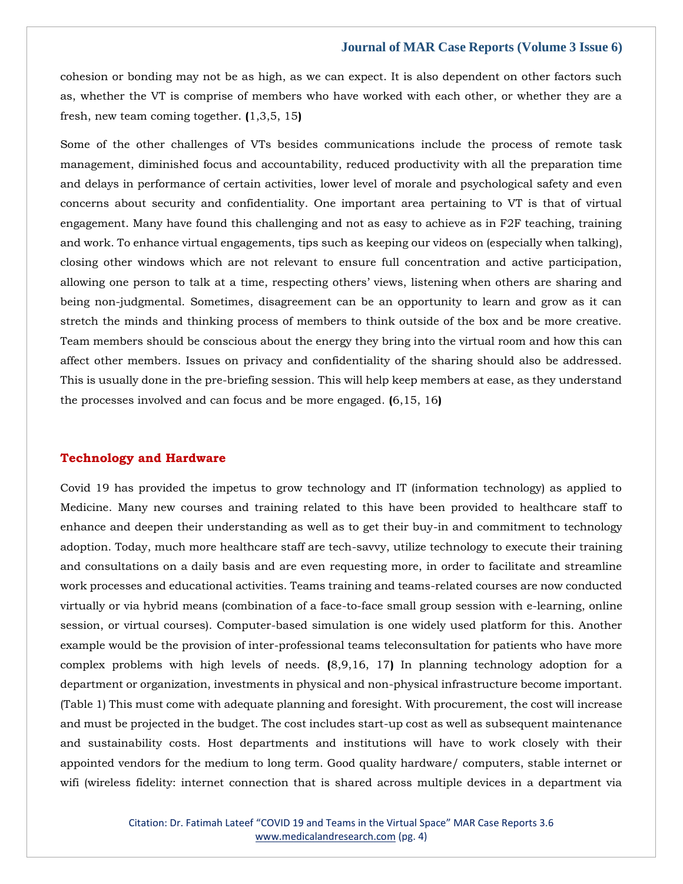cohesion or bonding may not be as high, as we can expect. It is also dependent on other factors such as, whether the VT is comprise of members who have worked with each other, or whether they are a fresh, new team coming together. **(**1,3,5, 15**)**

Some of the other challenges of VTs besides communications include the process of remote task management, diminished focus and accountability, reduced productivity with all the preparation time and delays in performance of certain activities, lower level of morale and psychological safety and even concerns about security and confidentiality. One important area pertaining to VT is that of virtual engagement. Many have found this challenging and not as easy to achieve as in F2F teaching, training and work. To enhance virtual engagements, tips such as keeping our videos on (especially when talking), closing other windows which are not relevant to ensure full concentration and active participation, allowing one person to talk at a time, respecting others' views, listening when others are sharing and being non-judgmental. Sometimes, disagreement can be an opportunity to learn and grow as it can stretch the minds and thinking process of members to think outside of the box and be more creative. Team members should be conscious about the energy they bring into the virtual room and how this can affect other members. Issues on privacy and confidentiality of the sharing should also be addressed. This is usually done in the pre-briefing session. This will help keep members at ease, as they understand the processes involved and can focus and be more engaged. **(**6,15, 16**)**

### **Technology and Hardware**

Covid 19 has provided the impetus to grow technology and IT (information technology) as applied to Medicine. Many new courses and training related to this have been provided to healthcare staff to enhance and deepen their understanding as well as to get their buy-in and commitment to technology adoption. Today, much more healthcare staff are tech-savvy, utilize technology to execute their training and consultations on a daily basis and are even requesting more, in order to facilitate and streamline work processes and educational activities. Teams training and teams-related courses are now conducted virtually or via hybrid means (combination of a face-to-face small group session with e-learning, online session, or virtual courses). Computer-based simulation is one widely used platform for this. Another example would be the provision of inter-professional teams teleconsultation for patients who have more complex problems with high levels of needs. **(**8,9,16, 17**)** In planning technology adoption for a department or organization, investments in physical and non-physical infrastructure become important. (Table 1) This must come with adequate planning and foresight. With procurement, the cost will increase and must be projected in the budget. The cost includes start-up cost as well as subsequent maintenance and sustainability costs. Host departments and institutions will have to work closely with their appointed vendors for the medium to long term. Good quality hardware/ computers, stable internet or wifi (wireless fidelity: internet connection that is shared across multiple devices in a department via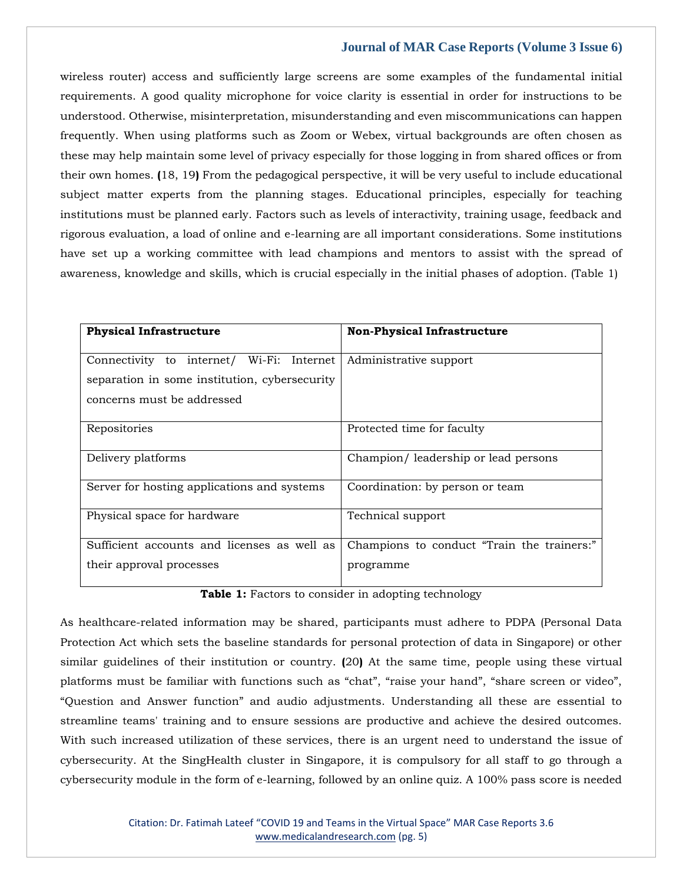wireless router) access and sufficiently large screens are some examples of the fundamental initial requirements. A good quality microphone for voice clarity is essential in order for instructions to be understood. Otherwise, misinterpretation, misunderstanding and even miscommunications can happen frequently. When using platforms such as Zoom or Webex, virtual backgrounds are often chosen as these may help maintain some level of privacy especially for those logging in from shared offices or from their own homes. **(**18, 19**)** From the pedagogical perspective, it will be very useful to include educational subject matter experts from the planning stages. Educational principles, especially for teaching institutions must be planned early. Factors such as levels of interactivity, training usage, feedback and rigorous evaluation, a load of online and e-learning are all important considerations. Some institutions have set up a working committee with lead champions and mentors to assist with the spread of awareness, knowledge and skills, which is crucial especially in the initial phases of adoption. (Table 1)

| <b>Physical Infrastructure</b>                | <b>Non-Physical Infrastructure</b>         |
|-----------------------------------------------|--------------------------------------------|
| Connectivity to internet/ Wi-Fi: Internet     | Administrative support                     |
| separation in some institution, cybersecurity |                                            |
| concerns must be addressed                    |                                            |
|                                               |                                            |
| Repositories                                  | Protected time for faculty                 |
| Delivery platforms                            | Champion/leadership or lead persons        |
| Server for hosting applications and systems   | Coordination: by person or team            |
| Physical space for hardware                   | Technical support                          |
| Sufficient accounts and licenses as well as   | Champions to conduct "Train the trainers:" |
| their approval processes                      | programme                                  |
|                                               |                                            |

**Table 1:** Factors to consider in adopting technology

As healthcare-related information may be shared, participants must adhere to PDPA (Personal Data Protection Act which sets the baseline standards for personal protection of data in Singapore) or other similar guidelines of their institution or country. **(**20**)** At the same time, people using these virtual platforms must be familiar with functions such as "chat", "raise your hand", "share screen or video", "Question and Answer function" and audio adjustments. Understanding all these are essential to streamline teams' training and to ensure sessions are productive and achieve the desired outcomes. With such increased utilization of these services, there is an urgent need to understand the issue of cybersecurity. At the SingHealth cluster in Singapore, it is compulsory for all staff to go through a cybersecurity module in the form of e-learning, followed by an online quiz. A 100% pass score is needed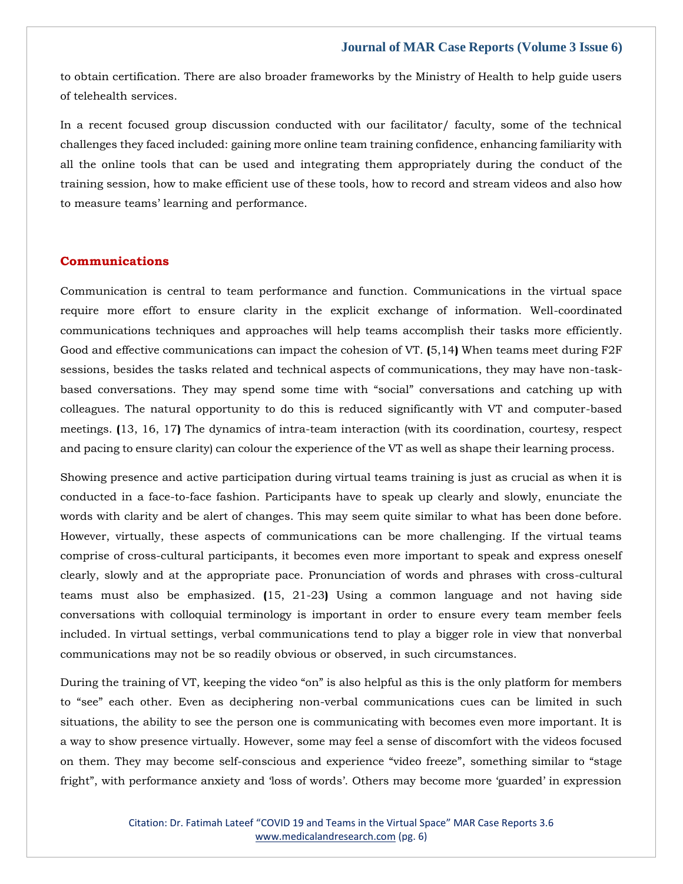to obtain certification. There are also broader frameworks by the Ministry of Health to help guide users of telehealth services.

In a recent focused group discussion conducted with our facilitator/ faculty, some of the technical challenges they faced included: gaining more online team training confidence, enhancing familiarity with all the online tools that can be used and integrating them appropriately during the conduct of the training session, how to make efficient use of these tools, how to record and stream videos and also how to measure teams' learning and performance.

## **Communications**

Communication is central to team performance and function. Communications in the virtual space require more effort to ensure clarity in the explicit exchange of information. Well-coordinated communications techniques and approaches will help teams accomplish their tasks more efficiently. Good and effective communications can impact the cohesion of VT. **(**5,14**)** When teams meet during F2F sessions, besides the tasks related and technical aspects of communications, they may have non-taskbased conversations. They may spend some time with "social" conversations and catching up with colleagues. The natural opportunity to do this is reduced significantly with VT and computer-based meetings. **(**13, 16, 17**)** The dynamics of intra-team interaction (with its coordination, courtesy, respect and pacing to ensure clarity) can colour the experience of the VT as well as shape their learning process.

Showing presence and active participation during virtual teams training is just as crucial as when it is conducted in a face-to-face fashion. Participants have to speak up clearly and slowly, enunciate the words with clarity and be alert of changes. This may seem quite similar to what has been done before. However, virtually, these aspects of communications can be more challenging. If the virtual teams comprise of cross-cultural participants, it becomes even more important to speak and express oneself clearly, slowly and at the appropriate pace. Pronunciation of words and phrases with cross-cultural teams must also be emphasized. **(**15, 21-23**)** Using a common language and not having side conversations with colloquial terminology is important in order to ensure every team member feels included. In virtual settings, verbal communications tend to play a bigger role in view that nonverbal communications may not be so readily obvious or observed, in such circumstances.

During the training of VT, keeping the video "on" is also helpful as this is the only platform for members to "see" each other. Even as deciphering non-verbal communications cues can be limited in such situations, the ability to see the person one is communicating with becomes even more important. It is a way to show presence virtually. However, some may feel a sense of discomfort with the videos focused on them. They may become self-conscious and experience "video freeze", something similar to "stage fright", with performance anxiety and 'loss of words'. Others may become more 'guarded' in expression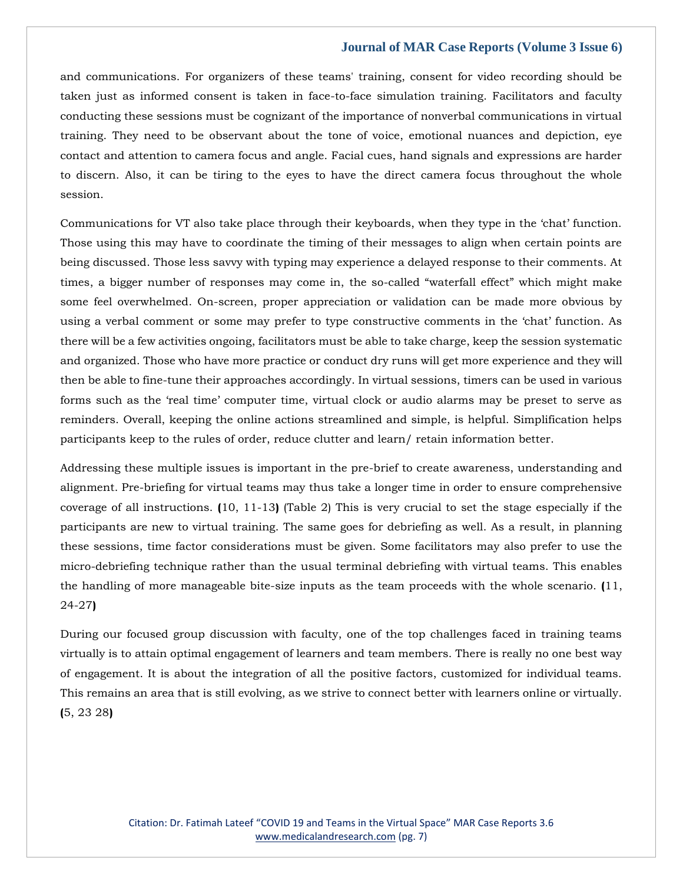and communications. For organizers of these teams' training, consent for video recording should be taken just as informed consent is taken in face-to-face simulation training. Facilitators and faculty conducting these sessions must be cognizant of the importance of nonverbal communications in virtual training. They need to be observant about the tone of voice, emotional nuances and depiction, eye contact and attention to camera focus and angle. Facial cues, hand signals and expressions are harder to discern. Also, it can be tiring to the eyes to have the direct camera focus throughout the whole session.

Communications for VT also take place through their keyboards, when they type in the 'chat' function. Those using this may have to coordinate the timing of their messages to align when certain points are being discussed. Those less savvy with typing may experience a delayed response to their comments. At times, a bigger number of responses may come in, the so-called "waterfall effect" which might make some feel overwhelmed. On-screen, proper appreciation or validation can be made more obvious by using a verbal comment or some may prefer to type constructive comments in the 'chat' function. As there will be a few activities ongoing, facilitators must be able to take charge, keep the session systematic and organized. Those who have more practice or conduct dry runs will get more experience and they will then be able to fine-tune their approaches accordingly. In virtual sessions, timers can be used in various forms such as the 'real time' computer time, virtual clock or audio alarms may be preset to serve as reminders. Overall, keeping the online actions streamlined and simple, is helpful. Simplification helps participants keep to the rules of order, reduce clutter and learn/ retain information better.

Addressing these multiple issues is important in the pre-brief to create awareness, understanding and alignment. Pre-briefing for virtual teams may thus take a longer time in order to ensure comprehensive coverage of all instructions. **(**10, 11-13**)** (Table 2) This is very crucial to set the stage especially if the participants are new to virtual training. The same goes for debriefing as well. As a result, in planning these sessions, time factor considerations must be given. Some facilitators may also prefer to use the micro-debriefing technique rather than the usual terminal debriefing with virtual teams. This enables the handling of more manageable bite-size inputs as the team proceeds with the whole scenario. **(**11, 24-27**)**

During our focused group discussion with faculty, one of the top challenges faced in training teams virtually is to attain optimal engagement of learners and team members. There is really no one best way of engagement. It is about the integration of all the positive factors, customized for individual teams. This remains an area that is still evolving, as we strive to connect better with learners online or virtually. **(**5, 23 28**)**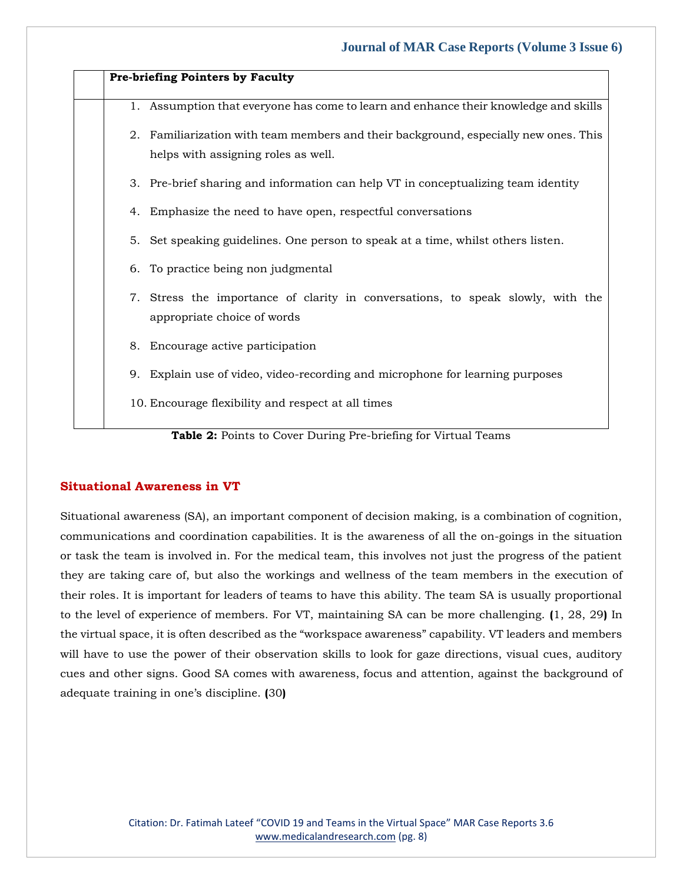| Pre-briefing Pointers by Faculty                                                                                            |
|-----------------------------------------------------------------------------------------------------------------------------|
| 1. Assumption that everyone has come to learn and enhance their knowledge and skills                                        |
| 2. Familiarization with team members and their background, especially new ones. This<br>helps with assigning roles as well. |
| 3. Pre-brief sharing and information can help VT in conceptualizing team identity                                           |
| 4. Emphasize the need to have open, respectful conversations                                                                |
| 5. Set speaking guidelines. One person to speak at a time, whilst others listen.                                            |
| 6. To practice being non judgmental                                                                                         |
| 7. Stress the importance of clarity in conversations, to speak slowly, with the<br>appropriate choice of words              |
| 8. Encourage active participation                                                                                           |
| 9. Explain use of video, video-recording and microphone for learning purposes                                               |
| 10. Encourage flexibility and respect at all times                                                                          |
|                                                                                                                             |

**Table 2:** Points to Cover During Pre-briefing for Virtual Teams

# **Situational Awareness in VT**

Situational awareness (SA), an important component of decision making, is a combination of cognition, communications and coordination capabilities. It is the awareness of all the on-goings in the situation or task the team is involved in. For the medical team, this involves not just the progress of the patient they are taking care of, but also the workings and wellness of the team members in the execution of their roles. It is important for leaders of teams to have this ability. The team SA is usually proportional to the level of experience of members. For VT, maintaining SA can be more challenging. **(**1, 28, 29**)** In the virtual space, it is often described as the "workspace awareness" capability. VT leaders and members will have to use the power of their observation skills to look for gaze directions, visual cues, auditory cues and other signs. Good SA comes with awareness, focus and attention, against the background of adequate training in one's discipline. **(**30**)**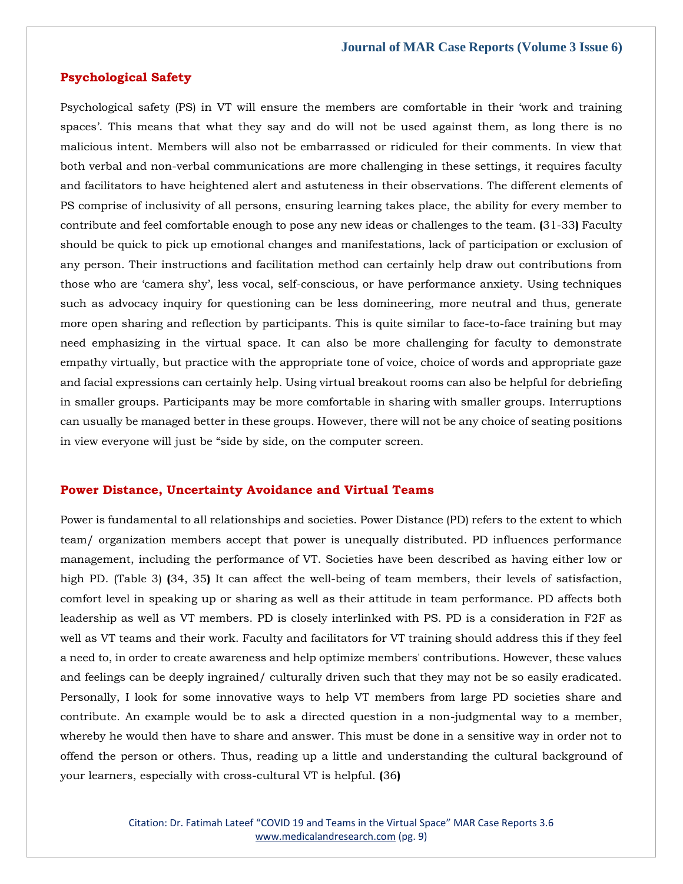## **Psychological Safety**

Psychological safety (PS) in VT will ensure the members are comfortable in their 'work and training spaces'. This means that what they say and do will not be used against them, as long there is no malicious intent. Members will also not be embarrassed or ridiculed for their comments. In view that both verbal and non-verbal communications are more challenging in these settings, it requires faculty and facilitators to have heightened alert and astuteness in their observations. The different elements of PS comprise of inclusivity of all persons, ensuring learning takes place, the ability for every member to contribute and feel comfortable enough to pose any new ideas or challenges to the team. **(**31-33**)** Faculty should be quick to pick up emotional changes and manifestations, lack of participation or exclusion of any person. Their instructions and facilitation method can certainly help draw out contributions from those who are 'camera shy', less vocal, self-conscious, or have performance anxiety. Using techniques such as advocacy inquiry for questioning can be less domineering, more neutral and thus, generate more open sharing and reflection by participants. This is quite similar to face-to-face training but may need emphasizing in the virtual space. It can also be more challenging for faculty to demonstrate empathy virtually, but practice with the appropriate tone of voice, choice of words and appropriate gaze and facial expressions can certainly help. Using virtual breakout rooms can also be helpful for debriefing in smaller groups. Participants may be more comfortable in sharing with smaller groups. Interruptions can usually be managed better in these groups. However, there will not be any choice of seating positions in view everyone will just be "side by side, on the computer screen.

## **Power Distance, Uncertainty Avoidance and Virtual Teams**

Power is fundamental to all relationships and societies. Power Distance (PD) refers to the extent to which team/ organization members accept that power is unequally distributed. PD influences performance management, including the performance of VT. Societies have been described as having either low or high PD. (Table 3) **(**34, 35**)** It can affect the well-being of team members, their levels of satisfaction, comfort level in speaking up or sharing as well as their attitude in team performance. PD affects both leadership as well as VT members. PD is closely interlinked with PS. PD is a consideration in F2F as well as VT teams and their work. Faculty and facilitators for VT training should address this if they feel a need to, in order to create awareness and help optimize members' contributions. However, these values and feelings can be deeply ingrained/ culturally driven such that they may not be so easily eradicated. Personally, I look for some innovative ways to help VT members from large PD societies share and contribute. An example would be to ask a directed question in a non-judgmental way to a member, whereby he would then have to share and answer. This must be done in a sensitive way in order not to offend the person or others. Thus, reading up a little and understanding the cultural background of your learners, especially with cross-cultural VT is helpful. **(**36**)**

> Citation: Dr. Fatimah Lateef "COVID 19 and Teams in the Virtual Space" MAR Case Reports 3.6 [www.medicalandresearch.com](http://www.medicalandresearch.com/) (pg. 9)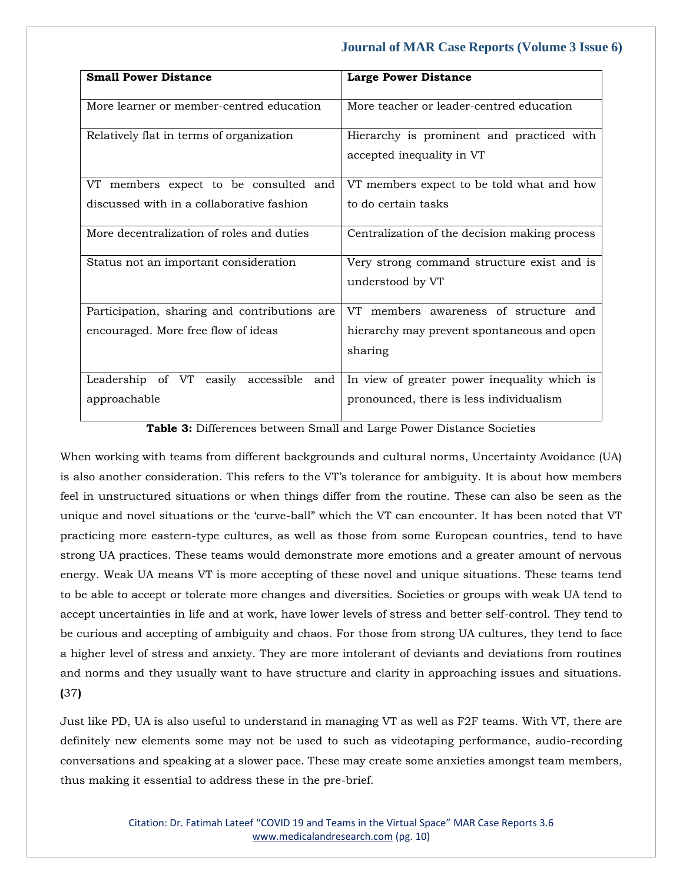| <b>Small Power Distance</b>                  | <b>Large Power Distance</b>                                            |
|----------------------------------------------|------------------------------------------------------------------------|
| More learner or member-centred education     | More teacher or leader-centred education                               |
| Relatively flat in terms of organization     | Hierarchy is prominent and practiced with<br>accepted inequality in VT |
| VT members expect to be consulted and        | VT members expect to be told what and how                              |
| discussed with in a collaborative fashion    | to do certain tasks                                                    |
| More decentralization of roles and duties    | Centralization of the decision making process                          |
| Status not an important consideration        | Very strong command structure exist and is<br>understood by VT         |
| Participation, sharing and contributions are | VT members awareness of structure and                                  |
| encouraged. More free flow of ideas          | hierarchy may prevent spontaneous and open<br>sharing                  |
| Leadership of VT<br>easily accessible<br>and | In view of greater power inequality which is                           |
| approachable                                 | pronounced, there is less individualism                                |

## **Table 3:** Differences between Small and Large Power Distance Societies

When working with teams from different backgrounds and cultural norms, Uncertainty Avoidance (UA) is also another consideration. This refers to the VT's tolerance for ambiguity. It is about how members feel in unstructured situations or when things differ from the routine. These can also be seen as the unique and novel situations or the 'curve-ball" which the VT can encounter. It has been noted that VT practicing more eastern-type cultures, as well as those from some European countries, tend to have strong UA practices. These teams would demonstrate more emotions and a greater amount of nervous energy. Weak UA means VT is more accepting of these novel and unique situations. These teams tend to be able to accept or tolerate more changes and diversities. Societies or groups with weak UA tend to accept uncertainties in life and at work, have lower levels of stress and better self-control. They tend to be curious and accepting of ambiguity and chaos. For those from strong UA cultures, they tend to face a higher level of stress and anxiety. They are more intolerant of deviants and deviations from routines and norms and they usually want to have structure and clarity in approaching issues and situations. **(**37**)**

Just like PD, UA is also useful to understand in managing VT as well as F2F teams. With VT, there are definitely new elements some may not be used to such as videotaping performance, audio-recording conversations and speaking at a slower pace. These may create some anxieties amongst team members, thus making it essential to address these in the pre-brief.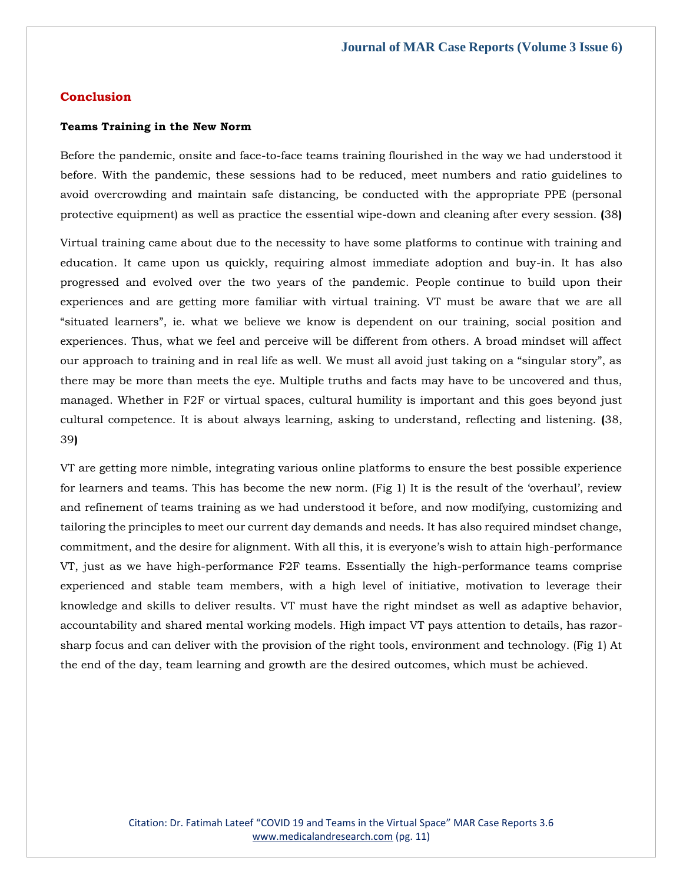### **Conclusion**

#### **Teams Training in the New Norm**

Before the pandemic, onsite and face-to-face teams training flourished in the way we had understood it before. With the pandemic, these sessions had to be reduced, meet numbers and ratio guidelines to avoid overcrowding and maintain safe distancing, be conducted with the appropriate PPE (personal protective equipment) as well as practice the essential wipe-down and cleaning after every session. **(**38**)**

Virtual training came about due to the necessity to have some platforms to continue with training and education. It came upon us quickly, requiring almost immediate adoption and buy-in. It has also progressed and evolved over the two years of the pandemic. People continue to build upon their experiences and are getting more familiar with virtual training. VT must be aware that we are all "situated learners", ie. what we believe we know is dependent on our training, social position and experiences. Thus, what we feel and perceive will be different from others. A broad mindset will affect our approach to training and in real life as well. We must all avoid just taking on a "singular story", as there may be more than meets the eye. Multiple truths and facts may have to be uncovered and thus, managed. Whether in F2F or virtual spaces, cultural humility is important and this goes beyond just cultural competence. It is about always learning, asking to understand, reflecting and listening. **(**38, 39**)**

VT are getting more nimble, integrating various online platforms to ensure the best possible experience for learners and teams. This has become the new norm. (Fig 1) It is the result of the 'overhaul', review and refinement of teams training as we had understood it before, and now modifying, customizing and tailoring the principles to meet our current day demands and needs. It has also required mindset change, commitment, and the desire for alignment. With all this, it is everyone's wish to attain high-performance VT, just as we have high-performance F2F teams. Essentially the high-performance teams comprise experienced and stable team members, with a high level of initiative, motivation to leverage their knowledge and skills to deliver results. VT must have the right mindset as well as adaptive behavior, accountability and shared mental working models. High impact VT pays attention to details, has razorsharp focus and can deliver with the provision of the right tools, environment and technology. (Fig 1) At the end of the day, team learning and growth are the desired outcomes, which must be achieved.

> Citation: Dr. Fatimah Lateef "COVID 19 and Teams in the Virtual Space" MAR Case Reports 3.6 [www.medicalandresearch.com](http://www.medicalandresearch.com/) (pg. 11)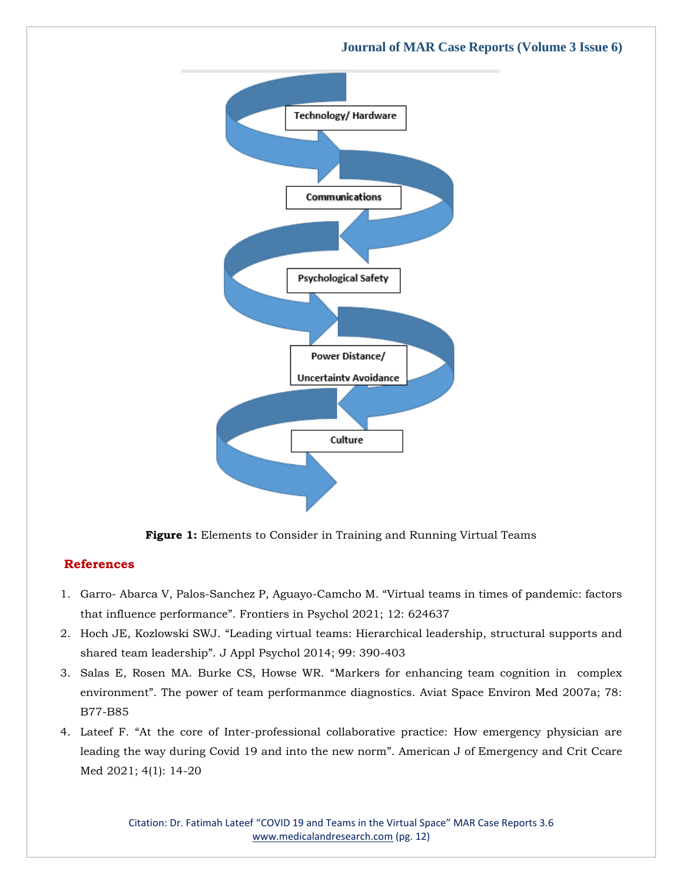**Journal of MAR Case Reports (Volume 3 Issue 6)** Technology/Hardware Communications **Psychological Safety** Power Distance/ **Uncertainty Avoidance** Culture

**Figure 1:** Elements to Consider in Training and Running Virtual Teams

# **References**

- 1. Garro- [Abarca V, Palos-Sanchez P, Aguayo-Camcho M.](https://www.google.com/search?q=Virtual+teams+in+times+of+pandemic%3A+factors+that+influence+performance&oq=Virtual+teams+in+times+of+pandemic%3A+factors+that+influence+performance&aqs=chrome..69i57.1504j0j7&sourceid=chrome&ie=UTF-8) "Virtual teams in times of pandemic: factors that influence performance"[. Frontiers in Psychol 2021; 12: 624637](https://www.google.com/search?q=Virtual+teams+in+times+of+pandemic%3A+factors+that+influence+performance&oq=Virtual+teams+in+times+of+pandemic%3A+factors+that+influence+performance&aqs=chrome..69i57.1504j0j7&sourceid=chrome&ie=UTF-8)
- 2. Hoch JE, Kozlowski SWJ. "[Leading virtual teams: Hierarchical leadership, structural supports and](https://www.google.com/search?q=Leading+virtual+teams%3A+Hierarchical+leadership%2C+structural+supports+and+shared+team+leadership&sxsrf=AOaemvKwUIuPhiJQnJMeNUriWL72Xll_MQ%3A1636980399686&ei=r1aSYf6eKZCwrQGlmK6IDA&oq=Leading+virtual+teams%3A+Hierarchical+leadership%2C+structural+supports+and+shared+team+leadership&gs_lcp=Cgdnd3Mtd2l6EAMyBwgjEOoCECcyBwgjEOoCECcyBwgjEOoCECcyBwgjEOoCECcyBwgjEOoCECcyBwgjEOoCECcyBwgjEOoCECcyBwgjEOoCECcyBwgjEOoCECcyBwgjEOoCECdKBAhBGABQsBxYsBxghytoAXACeACAAQCIAQCSAQCYAQCgAQGgAQKwAQrAAQE&sclient=gws-wiz&ved=0ahUKEwi-suiZs5r0AhUQWCsKHSWMC8EQ4dUDCA4&uact=5)  shared team leadership"[. J Appl Psychol 2014; 99: 390-403](https://www.google.com/search?q=Leading+virtual+teams%3A+Hierarchical+leadership%2C+structural+supports+and+shared+team+leadership&sxsrf=AOaemvKwUIuPhiJQnJMeNUriWL72Xll_MQ%3A1636980399686&ei=r1aSYf6eKZCwrQGlmK6IDA&oq=Leading+virtual+teams%3A+Hierarchical+leadership%2C+structural+supports+and+shared+team+leadership&gs_lcp=Cgdnd3Mtd2l6EAMyBwgjEOoCECcyBwgjEOoCECcyBwgjEOoCECcyBwgjEOoCECcyBwgjEOoCECcyBwgjEOoCECcyBwgjEOoCECcyBwgjEOoCECcyBwgjEOoCECcyBwgjEOoCECdKBAhBGABQsBxYsBxghytoAXACeACAAQCIAQCSAQCYAQCgAQGgAQKwAQrAAQE&sclient=gws-wiz&ved=0ahUKEwi-suiZs5r0AhUQWCsKHSWMC8EQ4dUDCA4&uact=5)
- 3. Salas E, Rosen MA. Burke CS, Howse WR. "[Markers for enhancing team cognition in complex](https://www.google.com/search?q=Markers+for+enhancing+team+cognition+in++complex+environment&sxsrf=AOaemvJgMU33pgrYl0oYCvZyy2FiziC3yg%3A1636980452311&ei=5FaSYc3KEtaDrtoPw8aBwAc&oq=Markers+for+enhancing+team+cognition+in++complex+environment&gs_lcp=Cgdnd3Mtd2l6EAMyBggAEBYQHjoHCCMQ6gIQJ0oECEEYAFDFB1jFB2DaDmgBcAJ4AIAB9wGIAfcBkgEDMi0xmAEAoAEBoAECsAEKwAEB&sclient=gws-wiz&ved=0ahUKEwjNzPSys5r0AhXWgUsFHUNjAHgQ4dUDCA4&uact=5)  environment"[. The power of team performanmce diagnostics. Aviat Space Environ Med 2007a; 78:](https://www.google.com/search?q=Markers+for+enhancing+team+cognition+in++complex+environment&sxsrf=AOaemvJgMU33pgrYl0oYCvZyy2FiziC3yg%3A1636980452311&ei=5FaSYc3KEtaDrtoPw8aBwAc&oq=Markers+for+enhancing+team+cognition+in++complex+environment&gs_lcp=Cgdnd3Mtd2l6EAMyBggAEBYQHjoHCCMQ6gIQJ0oECEEYAFDFB1jFB2DaDmgBcAJ4AIAB9wGIAfcBkgEDMi0xmAEAoAEBoAECsAEKwAEB&sclient=gws-wiz&ved=0ahUKEwjNzPSys5r0AhXWgUsFHUNjAHgQ4dUDCA4&uact=5)  [B77-B85](https://www.google.com/search?q=Markers+for+enhancing+team+cognition+in++complex+environment&sxsrf=AOaemvJgMU33pgrYl0oYCvZyy2FiziC3yg%3A1636980452311&ei=5FaSYc3KEtaDrtoPw8aBwAc&oq=Markers+for+enhancing+team+cognition+in++complex+environment&gs_lcp=Cgdnd3Mtd2l6EAMyBggAEBYQHjoHCCMQ6gIQJ0oECEEYAFDFB1jFB2DaDmgBcAJ4AIAB9wGIAfcBkgEDMi0xmAEAoAEBoAECsAEKwAEB&sclient=gws-wiz&ved=0ahUKEwjNzPSys5r0AhXWgUsFHUNjAHgQ4dUDCA4&uact=5)
- 4. Lateef F. "[At the core of Inter-professional collaborative practice: How emergency physician are](https://www.google.com/search?q=At+the+core+of+Inter-professional+collaborative+practice%3A+How+emergency+physician+are+leading+the+way+during+Covid+19+and+into+the+new+norm&sxsrf=AOaemvKKVXF9Jh407Rs646d8V50RSIfHMQ%3A1636980599499&ei=d1eSYYf2HYKm9QPG5I2gBA&oq=At+the+core+of+Inter-professional+collaborative+practice%3A+How+emergency+physician+are+leading+the+way+during+Covid+19+and+into+the+new+norm&gs_lcp=Cgdnd3Mtd2l6EAMyBwgjEOoCECcyBwgjEOoCECcyBwgjEOoCECcyBwgjEOoCECcyBwgjEOoCECcyBwgjEOoCECcyBwgjEOoCECcyBwgjEOoCECcyBwgjEOoCECcyBwgjEOoCECdKBAhBGABQtQdYtQdg1QloAXAAeACAAQCIAQCSAQCYAQCgAQGgAQKwAQrAAQE&sclient=gws-wiz&ved=0ahUKEwjHjYz5s5r0AhUCU30KHUZyA0QQ4dUDCA4&uact=5)  [leading the way during Covid 19 and into the new norm](https://www.google.com/search?q=At+the+core+of+Inter-professional+collaborative+practice%3A+How+emergency+physician+are+leading+the+way+during+Covid+19+and+into+the+new+norm&sxsrf=AOaemvKKVXF9Jh407Rs646d8V50RSIfHMQ%3A1636980599499&ei=d1eSYYf2HYKm9QPG5I2gBA&oq=At+the+core+of+Inter-professional+collaborative+practice%3A+How+emergency+physician+are+leading+the+way+during+Covid+19+and+into+the+new+norm&gs_lcp=Cgdnd3Mtd2l6EAMyBwgjEOoCECcyBwgjEOoCECcyBwgjEOoCECcyBwgjEOoCECcyBwgjEOoCECcyBwgjEOoCECcyBwgjEOoCECcyBwgjEOoCECcyBwgjEOoCECcyBwgjEOoCECdKBAhBGABQtQdYtQdg1QloAXAAeACAAQCIAQCSAQCYAQCgAQGgAQKwAQrAAQE&sclient=gws-wiz&ved=0ahUKEwjHjYz5s5r0AhUCU30KHUZyA0QQ4dUDCA4&uact=5)". American J of Emergency and Crit Ccare [Med 2021; 4\(1\): 14-20](https://www.google.com/search?q=At+the+core+of+Inter-professional+collaborative+practice%3A+How+emergency+physician+are+leading+the+way+during+Covid+19+and+into+the+new+norm&sxsrf=AOaemvKKVXF9Jh407Rs646d8V50RSIfHMQ%3A1636980599499&ei=d1eSYYf2HYKm9QPG5I2gBA&oq=At+the+core+of+Inter-professional+collaborative+practice%3A+How+emergency+physician+are+leading+the+way+during+Covid+19+and+into+the+new+norm&gs_lcp=Cgdnd3Mtd2l6EAMyBwgjEOoCECcyBwgjEOoCECcyBwgjEOoCECcyBwgjEOoCECcyBwgjEOoCECcyBwgjEOoCECcyBwgjEOoCECcyBwgjEOoCECcyBwgjEOoCECcyBwgjEOoCECdKBAhBGABQtQdYtQdg1QloAXAAeACAAQCIAQCSAQCYAQCgAQGgAQKwAQrAAQE&sclient=gws-wiz&ved=0ahUKEwjHjYz5s5r0AhUCU30KHUZyA0QQ4dUDCA4&uact=5)

Citation: Dr. Fatimah Lateef "COVID 19 and Teams in the Virtual Space" MAR Case Reports 3.6 [www.medicalandresearch.com](http://www.medicalandresearch.com/) (pg. 12)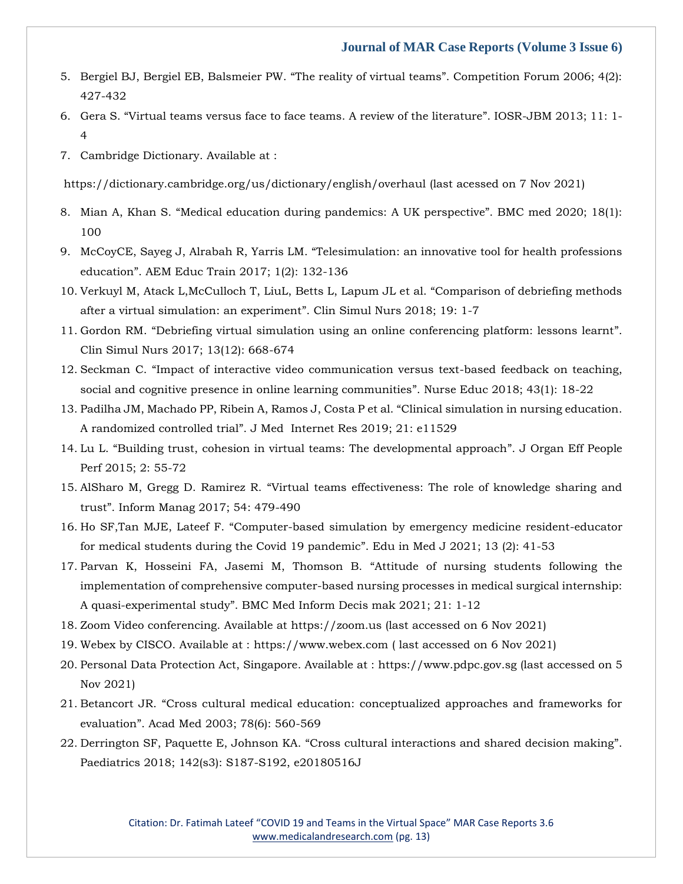- 5. [Bergiel BJ, Bergiel EB, Balsmeier PW.](https://www.google.com/search?q=The+reality+of+virtual+teams+Competition+Forum+2006&sxsrf=AOaemvKpgzdDhfBcFlDdgbQyjym8INAdOQ%3A1636980667095&ei=u1eSYfGgBYSwrQHNnonIBA&oq=The+reality+of+virtual+teams+Competition+Forum+2006&gs_lcp=Cgdnd3Mtd2l6EAM6BwgAEEcQsAM6BwgjEK4CECdKBAhBGABQzgFYsglg3Q9oAXACeACAAYQDiAGxBZIBAzMtMpgBAKABAaABAsgBBMABAQ&sclient=gws-wiz&ved=0ahUKEwix6qmZtJr0AhUEWCsKHU1PAkkQ4dUDCA4&uact=5) "The reality of virtual teams". Competition Forum 2006; 4(2): [427-432](https://www.google.com/search?q=The+reality+of+virtual+teams+Competition+Forum+2006&sxsrf=AOaemvKpgzdDhfBcFlDdgbQyjym8INAdOQ%3A1636980667095&ei=u1eSYfGgBYSwrQHNnonIBA&oq=The+reality+of+virtual+teams+Competition+Forum+2006&gs_lcp=Cgdnd3Mtd2l6EAM6BwgAEEcQsAM6BwgjEK4CECdKBAhBGABQzgFYsglg3Q9oAXACeACAAYQDiAGxBZIBAzMtMpgBAKABAaABAsgBBMABAQ&sclient=gws-wiz&ved=0ahUKEwix6qmZtJr0AhUEWCsKHU1PAkkQ4dUDCA4&uact=5)
- 6. Gera S. "[Virtual teams versus face to face teams. A review of the literature](https://www.google.com/search?q=Virtual+teams+versus+face+to+face+teams.+A+review+of+the+literature&sxsrf=AOaemvIAG0zmF-ZwPE8Hj-Q3iCVxzvzMPQ%3A1636980684611&ei=zFeSYdvLJM6H9QPFirigBg&oq=Virtual+teams+versus+face+to+face+teams.+A+review+of+the+literature&gs_lcp=Cgdnd3Mtd2l6EAM6BwgjEOoCECdKBAhBGABQvQZYvQZg7ghoAXACeACAAZMCiAGTApIBAzItMZgBAKABAaABArABCsABAQ&sclient=gws-wiz&ved=0ahUKEwjb4dahtJr0AhXOQ30KHUUFDmQQ4dUDCA4&uact=5)". IOSR-JBM 2013; 11: 1- [4](https://www.google.com/search?q=Virtual+teams+versus+face+to+face+teams.+A+review+of+the+literature&sxsrf=AOaemvIAG0zmF-ZwPE8Hj-Q3iCVxzvzMPQ%3A1636980684611&ei=zFeSYdvLJM6H9QPFirigBg&oq=Virtual+teams+versus+face+to+face+teams.+A+review+of+the+literature&gs_lcp=Cgdnd3Mtd2l6EAM6BwgjEOoCECdKBAhBGABQvQZYvQZg7ghoAXACeACAAZMCiAGTApIBAzItMZgBAKABAaABArABCsABAQ&sclient=gws-wiz&ved=0ahUKEwjb4dahtJr0AhXOQ30KHUUFDmQQ4dUDCA4&uact=5)
- 7. Cambridge Dictionary. Available at :

<https://dictionary.cambridge.org/us/dictionary/english/overhaul> (last acessed on 7 Nov 2021)

- 8. Mian A, Khan S. "[Medical education during pandemics: A UK perspective](https://www.google.com/search?q=Medical+education+during+pandemics%3A+A+UK+perspective&sxsrf=AOaemvJt_Fv4yoT6uKnyR8Tnt64j6NWEhw%3A1636980710906&ei=5leSYerfNoSo9QOer63wDw&oq=Medical+education+during+pandemics%3A+A+UK+perspective&gs_lcp=Cgdnd3Mtd2l6EAMyBwgjEOoCECcyBwgjEOoCECcyBwgjEOoCECcyBwgjEOoCECcyBwgjEOoCECcyBwgjEOoCECcyBwgjEOoCECcyBwgjEOoCECcyBwgjEOoCECcyBwgjEOoCECdKBAhBGABQpgZYpgZgrAloAXACeACAAQCIAQCSAQCYAQCgAQGgAQKwAQrAAQE&sclient=gws-wiz&ved=0ahUKEwjq6puutJr0AhUEVH0KHZ5XC_4Q4dUDCA4&uact=5)". BMC med 2020; 18(1): [100](https://www.google.com/search?q=Medical+education+during+pandemics%3A+A+UK+perspective&sxsrf=AOaemvJt_Fv4yoT6uKnyR8Tnt64j6NWEhw%3A1636980710906&ei=5leSYerfNoSo9QOer63wDw&oq=Medical+education+during+pandemics%3A+A+UK+perspective&gs_lcp=Cgdnd3Mtd2l6EAMyBwgjEOoCECcyBwgjEOoCECcyBwgjEOoCECcyBwgjEOoCECcyBwgjEOoCECcyBwgjEOoCECcyBwgjEOoCECcyBwgjEOoCECcyBwgjEOoCECcyBwgjEOoCECdKBAhBGABQpgZYpgZgrAloAXACeACAAQCIAQCSAQCYAQCgAQGgAQKwAQrAAQE&sclient=gws-wiz&ved=0ahUKEwjq6puutJr0AhUEVH0KHZ5XC_4Q4dUDCA4&uact=5)
- 9. McCoyCE, Sayeg J, Alrabah R, Yarris LM. "[Telesimulation: an innovative tool for health professions](https://www.google.com/search?q=Telesimulation%3A+an+innovative+tool+for+health+professions+education&sxsrf=AOaemvIR_u9zlhCMpgGfqO--6JsB2hyIpw%3A1636980752400&ei=EFiSYYvsF7_1rtoPyoCK6AY&oq=Telesimulation%3A+an+innovative+tool+for+health+professions+education&gs_lcp=Cgdnd3Mtd2l6EAMyBwgjEOoCECcyBwgjEOoCECcyBwgjEOoCECcyBwgjEOoCECcyBwgjEOoCECcyBwgjEOoCECcyBwgjEOoCECcyBwgjEOoCECcyBwgjEOoCECcyBwgjEOoCECdKBAhBGABQrAZYrAZgjwloAXACeACAAQCIAQCSAQCYAQCgAQGgAQKwAQrAAQE&sclient=gws-wiz&ved=0ahUKEwiLtIDCtJr0AhW_uksFHUqAAm0Q4dUDCA4&uact=5)  education"[. AEM Educ Train 2017; 1\(2\): 132-136](https://www.google.com/search?q=Telesimulation%3A+an+innovative+tool+for+health+professions+education&sxsrf=AOaemvIR_u9zlhCMpgGfqO--6JsB2hyIpw%3A1636980752400&ei=EFiSYYvsF7_1rtoPyoCK6AY&oq=Telesimulation%3A+an+innovative+tool+for+health+professions+education&gs_lcp=Cgdnd3Mtd2l6EAMyBwgjEOoCECcyBwgjEOoCECcyBwgjEOoCECcyBwgjEOoCECcyBwgjEOoCECcyBwgjEOoCECcyBwgjEOoCECcyBwgjEOoCECcyBwgjEOoCECcyBwgjEOoCECdKBAhBGABQrAZYrAZgjwloAXACeACAAQCIAQCSAQCYAQCgAQGgAQKwAQrAAQE&sclient=gws-wiz&ved=0ahUKEwiLtIDCtJr0AhW_uksFHUqAAm0Q4dUDCA4&uact=5)
- 10. [Verkuyl M, Atack L,McCulloch T, LiuL, Betts L, Lapum JL et al.](https://www.google.com/search?q=Comparison+of+debriefing+methods+after+a+virtual+simulation%3A+an+experiment&sxsrf=AOaemvKkk3NKPDZz-Dn5KoO-x7wRUWfrWQ%3A1636980773099&ei=JViSYb6xBYngrQGjopmYAQ&oq=Comparison+of+debriefing+methods+after+a+virtual+simulation%3A+an+experiment&gs_lcp=Cgdnd3Mtd2l6EAMyBggAEBYQHjoHCCMQ6gIQJ0oECEEYAFCuBliuBmDWCGgBcAB4AIAB7QGIAe0BkgEDMi0xmAEAoAEBoAECsAEKwAEB&sclient=gws-wiz&ved=0ahUKEwj-1-_LtJr0AhUJcCsKHSNRBhMQ4dUDCA4&uact=5) "Comparison of debriefing methods [after a virtual simulation: an experiment](https://www.google.com/search?q=Comparison+of+debriefing+methods+after+a+virtual+simulation%3A+an+experiment&sxsrf=AOaemvKkk3NKPDZz-Dn5KoO-x7wRUWfrWQ%3A1636980773099&ei=JViSYb6xBYngrQGjopmYAQ&oq=Comparison+of+debriefing+methods+after+a+virtual+simulation%3A+an+experiment&gs_lcp=Cgdnd3Mtd2l6EAMyBggAEBYQHjoHCCMQ6gIQJ0oECEEYAFCuBliuBmDWCGgBcAB4AIAB7QGIAe0BkgEDMi0xmAEAoAEBoAECsAEKwAEB&sclient=gws-wiz&ved=0ahUKEwj-1-_LtJr0AhUJcCsKHSNRBhMQ4dUDCA4&uact=5)". Clin Simul Nurs 2018; 19: 1-7
- 11. Gordon RM. "[Debriefing virtual simulation using an online conferencing platform: lessons learnt](https://www.google.com/search?q=Debriefing+virtual+simulation+using+an+online+conferencing+platform%3A+lessons+learnt&sxsrf=AOaemvLfaOkW-6ys5JCtz6h5EtDhr66qyg%3A1636980796515&ei=PFiSYYvvHs6H9QPFirigBg&oq=Debriefing+virtual+simulation+using+an+online+conferencing+platform%3A+lessons+learnt&gs_lcp=Cgdnd3Mtd2l6EAMyBggAEBYQHjoHCCMQ6gIQJ0oECEEYAFDVBljVBmD6CGgBcAB4AIAB5gGIAeYBkgEDMi0xmAEAoAEBoAECsAEKwAEB&sclient=gws-wiz&ved=0ahUKEwiL_YTXtJr0AhXOQ30KHUUFDmQQ4dUDCA4&uact=5)". [Clin Simul Nurs 2017; 13\(12\): 668-674](https://www.google.com/search?q=Debriefing+virtual+simulation+using+an+online+conferencing+platform%3A+lessons+learnt&sxsrf=AOaemvLfaOkW-6ys5JCtz6h5EtDhr66qyg%3A1636980796515&ei=PFiSYYvvHs6H9QPFirigBg&oq=Debriefing+virtual+simulation+using+an+online+conferencing+platform%3A+lessons+learnt&gs_lcp=Cgdnd3Mtd2l6EAMyBggAEBYQHjoHCCMQ6gIQJ0oECEEYAFDVBljVBmD6CGgBcAB4AIAB5gGIAeYBkgEDMi0xmAEAoAEBoAECsAEKwAEB&sclient=gws-wiz&ved=0ahUKEwiL_YTXtJr0AhXOQ30KHUUFDmQQ4dUDCA4&uact=5)
- 12. Seckman C. "[Impact of interactive video communication versus text-based feedback on teaching,](https://www.google.com/search?q=Impact+of+interactive+video+communication+versus+text-based+feedback+on+teaching%2C+social+and+cognitive+presence+in+online+learning+communities&sxsrf=AOaemvKNGd3E-SnZdqVHNwTMR0Ivr6zaqw%3A1636980838178&ei=ZliSYau8CtX8rQGOgZnwAQ&oq=Impact+of+interactive+video+communication+versus+text-based+feedback+on+teaching%2C+social+and+cognitive+presence+in+online+learning+communities&gs_lcp=Cgdnd3Mtd2l6EAMyBwgjEOoCECcyBwgjEOoCECcyBwgjEOoCECcyBwgjEOoCECcyBwgjEOoCECcyBwgjEOoCECcyBwgjEOoCECcyBwgjEOoCECcyBwgjEOoCECcyBwgjEOoCECdKBAhBGABQ0gdY0gdgvwpoAXACeACAAQCIAQCSAQCYAQCgAQGgAQKwAQrAAQE&sclient=gws-wiz&ved=0ahUKEwirh_TqtJr0AhVVfisKHY5ABh4Q4dUDCA4&uact=5)  [social and cognitive presence in online learning communities](https://www.google.com/search?q=Impact+of+interactive+video+communication+versus+text-based+feedback+on+teaching%2C+social+and+cognitive+presence+in+online+learning+communities&sxsrf=AOaemvKNGd3E-SnZdqVHNwTMR0Ivr6zaqw%3A1636980838178&ei=ZliSYau8CtX8rQGOgZnwAQ&oq=Impact+of+interactive+video+communication+versus+text-based+feedback+on+teaching%2C+social+and+cognitive+presence+in+online+learning+communities&gs_lcp=Cgdnd3Mtd2l6EAMyBwgjEOoCECcyBwgjEOoCECcyBwgjEOoCECcyBwgjEOoCECcyBwgjEOoCECcyBwgjEOoCECcyBwgjEOoCECcyBwgjEOoCECcyBwgjEOoCECcyBwgjEOoCECdKBAhBGABQ0gdY0gdgvwpoAXACeACAAQCIAQCSAQCYAQCgAQGgAQKwAQrAAQE&sclient=gws-wiz&ved=0ahUKEwirh_TqtJr0AhVVfisKHY5ABh4Q4dUDCA4&uact=5)". Nurse Educ 2018; 43(1): 18-22
- 13. [Padilha JM, Machado PP, Ribein A, Ramos J, Costa P et al.](https://www.google.com/search?q=Clinical+simulation+in+nursing+education.+A+randomized+controlled+trial&sxsrf=AOaemvJnPCR-oddfm4jZ2I9SkLm7E57JSw%3A1636980895337&ei=n1iSYYTaE4i-9QOkhI3YBQ&oq=Clinical+simulation+in+nursing+education.+A+randomized+controlled+trial&gs_lcp=Cgdnd3Mtd2l6EAMyBggAEBYQHjoHCCMQ6gIQJ0oECEEYAFCXB1iXB2DnCmgBcAJ4AIABigOIAYoDkgEDMy0xmAEAoAEBoAECsAEKwAEB&sclient=gws-wiz&ved=0ahUKEwjEpZSGtZr0AhUIX30KHSRCA1sQ4dUDCA4&uact=5) "Clinical simulation in nursing education. A randomized controlled trial"[. J Med Internet Res 2019; 21: e11529](https://www.google.com/search?q=Clinical+simulation+in+nursing+education.+A+randomized+controlled+trial&sxsrf=AOaemvJnPCR-oddfm4jZ2I9SkLm7E57JSw%3A1636980895337&ei=n1iSYYTaE4i-9QOkhI3YBQ&oq=Clinical+simulation+in+nursing+education.+A+randomized+controlled+trial&gs_lcp=Cgdnd3Mtd2l6EAMyBggAEBYQHjoHCCMQ6gIQJ0oECEEYAFCXB1iXB2DnCmgBcAJ4AIABigOIAYoDkgEDMy0xmAEAoAEBoAECsAEKwAEB&sclient=gws-wiz&ved=0ahUKEwjEpZSGtZr0AhUIX30KHSRCA1sQ4dUDCA4&uact=5)
- 14. Lu L. "[Building trust, cohesion in virtual teams: The developmental approach](https://www.google.com/search?q=Building+trust%2C+cohesion+in+virtual+teams%3A+The+developmental+approach&sxsrf=AOaemvLiRt00xXPeVTAfeTnMzBezNHBRHg%3A1636980944419&ei=0FiSYYn5GJKR9QOv7Z2YAQ&oq=Building+trust%2C+cohesion+in+virtual+teams%3A+The+developmental+approach&gs_lcp=Cgdnd3Mtd2l6EAMyBggAEBYQHjoHCCMQ6gIQJ0oECEEYAFClBlilBmDRCGgBcAJ4AIAB0AGIAdABkgEDMi0xmAEAoAEBoAECsAEKwAEB&sclient=gws-wiz&ved=0ahUKEwiJocidtZr0AhWSSH0KHa92BxMQ4dUDCA4&uact=5)". J Organ Eff People [Perf 2015; 2: 55-72](https://www.google.com/search?q=Building+trust%2C+cohesion+in+virtual+teams%3A+The+developmental+approach&sxsrf=AOaemvLiRt00xXPeVTAfeTnMzBezNHBRHg%3A1636980944419&ei=0FiSYYn5GJKR9QOv7Z2YAQ&oq=Building+trust%2C+cohesion+in+virtual+teams%3A+The+developmental+approach&gs_lcp=Cgdnd3Mtd2l6EAMyBggAEBYQHjoHCCMQ6gIQJ0oECEEYAFClBlilBmDRCGgBcAJ4AIAB0AGIAdABkgEDMi0xmAEAoAEBoAECsAEKwAEB&sclient=gws-wiz&ved=0ahUKEwiJocidtZr0AhWSSH0KHa92BxMQ4dUDCA4&uact=5)
- 15. AlSharo M, Gregg D. Ramirez R. "[Virtual teams effectiveness: The role of knowledge sharing and](https://www.google.com/search?q=Virtual+teams+effectiveness%3A+The+role+of+knowledge+sharing+and+trust&sxsrf=AOaemvJ9S_bNerCrtTiwKOwTl0MrW_CnPA%3A1636980975819&ei=71iSYfG0MZDl9QO1uICIBA&oq=Virtual+teams+effectiveness%3A+The+role+of+knowledge+sharing+and+trust&gs_lcp=Cgdnd3Mtd2l6EAMyBwgjEOoCECcyBwgjEOoCECcyBwgjEOoCECcyBwgjEOoCECcyBwgjEOoCECcyBwgjEOoCECcyBwgjEOoCECcyBwgjEOoCECcyBwgjEOoCECcyBwgjEOoCECdKBAhBGABQpghYpghglwtoAXACeACAAQCIAQCSAQCYAQCgAQGgAQKwAQrAAQE&sclient=gws-wiz&ved=0ahUKEwix6MSstZr0AhWQcn0KHTUcAEEQ4dUDCA4&uact=5)  trust"[. Inform Manag 2017; 54: 479-490](https://www.google.com/search?q=Virtual+teams+effectiveness%3A+The+role+of+knowledge+sharing+and+trust&sxsrf=AOaemvJ9S_bNerCrtTiwKOwTl0MrW_CnPA%3A1636980975819&ei=71iSYfG0MZDl9QO1uICIBA&oq=Virtual+teams+effectiveness%3A+The+role+of+knowledge+sharing+and+trust&gs_lcp=Cgdnd3Mtd2l6EAMyBwgjEOoCECcyBwgjEOoCECcyBwgjEOoCECcyBwgjEOoCECcyBwgjEOoCECcyBwgjEOoCECcyBwgjEOoCECcyBwgjEOoCECcyBwgjEOoCECcyBwgjEOoCECdKBAhBGABQpghYpghglwtoAXACeACAAQCIAQCSAQCYAQCgAQGgAQKwAQrAAQE&sclient=gws-wiz&ved=0ahUKEwix6MSstZr0AhWQcn0KHTUcAEEQ4dUDCA4&uact=5)
- 16. Ho SF,Tan MJE, Lateef F. "[Computer-based simulation by emergency medicine resident-educator](https://www.google.com/search?q=Computer-based+simulation+by+emergency+medicine+resident-educator+for+medical+students+during+the+Covid+19+pandemic&sxsrf=AOaemvIqO_WZ_Vymbq4gXns6F6udgSj17w%3A1636980999364&ei=B1mSYb_SFZLb9QOZ9avABw&oq=Computer-based+simulation+by+emergency+medicine+resident-educator+for+medical+students+during+the+Covid+19+pandemic&gs_lcp=Cgdnd3Mtd2l6EAMyBwgjEOoCECcyBwgjEOoCECcyBwgjEOoCECcyBwgjEOoCECcyBwgjEOoCECcyBwgjEOoCECcyBwgjEOoCECcyBwgjEOoCECcyBwgjEOoCECcyBwgjEOoCECdKBAhBGABQwQZYwQZgkwloAXACeACAAQCIAQCSAQCYAQCgAQGgAQKwAQrAAQE&sclient=gws-wiz&ved=0ahUKEwj_8eG3tZr0AhWSbX0KHZn6CngQ4dUDCA4&uact=5)  [for medical students during the Covid 19 pandemic](https://www.google.com/search?q=Computer-based+simulation+by+emergency+medicine+resident-educator+for+medical+students+during+the+Covid+19+pandemic&sxsrf=AOaemvIqO_WZ_Vymbq4gXns6F6udgSj17w%3A1636980999364&ei=B1mSYb_SFZLb9QOZ9avABw&oq=Computer-based+simulation+by+emergency+medicine+resident-educator+for+medical+students+during+the+Covid+19+pandemic&gs_lcp=Cgdnd3Mtd2l6EAMyBwgjEOoCECcyBwgjEOoCECcyBwgjEOoCECcyBwgjEOoCECcyBwgjEOoCECcyBwgjEOoCECcyBwgjEOoCECcyBwgjEOoCECcyBwgjEOoCECcyBwgjEOoCECdKBAhBGABQwQZYwQZgkwloAXACeACAAQCIAQCSAQCYAQCgAQGgAQKwAQrAAQE&sclient=gws-wiz&ved=0ahUKEwj_8eG3tZr0AhWSbX0KHZn6CngQ4dUDCA4&uact=5)". Edu in Med J 2021; 13 (2): 41-53
- 17. [Parvan K, Hosseini FA, Jasemi M, Thomson B.](https://www.google.com/search?q=Attitude+of+nursing+students+following+the+implementation+of+comprehensive+computer-based+nursing+processes+in+medical+surgical+internship%3A+A+quasi-experimental+study&sxsrf=AOaemvJ0rHhMnvVsIx7Ln1ULbMXF1fjLcg%3A1636981025084&ei=IVmSYb_GBIr_9QPL37zADg&oq=Attitude+of+nursing+students+following+the+implementation+of+comprehensive+computer-based+nursing+processes+in+medical+surgical+internship%3A+A+quasi-experimental+study&gs_lcp=Cgdnd3Mtd2l6EAMyBwgjEOoCECcyBwgjEOoCECcyBwgjEOoCECcyBwgjEOoCECcyBwgjEOoCECcyBwgjEOoCECcyBwgjEOoCECcyBwgjEOoCECcyBwgjEOoCECcyBwgjEOoCECdKBAhBGABQgQdYgQdg7AloAXAAeACAAQCIAQCSAQCYAQCgAQGgAQKwAQrAAQE&sclient=gws-wiz&ved=0ahUKEwj_2oPEtZr0AhWKf30KHcsvD-gQ4dUDCA4&uact=5) "Attitude of nursing students following the [implementation of comprehensive computer-based nursing processes in medical surgical internship:](https://www.google.com/search?q=Attitude+of+nursing+students+following+the+implementation+of+comprehensive+computer-based+nursing+processes+in+medical+surgical+internship%3A+A+quasi-experimental+study&sxsrf=AOaemvJ0rHhMnvVsIx7Ln1ULbMXF1fjLcg%3A1636981025084&ei=IVmSYb_GBIr_9QPL37zADg&oq=Attitude+of+nursing+students+following+the+implementation+of+comprehensive+computer-based+nursing+processes+in+medical+surgical+internship%3A+A+quasi-experimental+study&gs_lcp=Cgdnd3Mtd2l6EAMyBwgjEOoCECcyBwgjEOoCECcyBwgjEOoCECcyBwgjEOoCECcyBwgjEOoCECcyBwgjEOoCECcyBwgjEOoCECcyBwgjEOoCECcyBwgjEOoCECcyBwgjEOoCECdKBAhBGABQgQdYgQdg7AloAXAAeACAAQCIAQCSAQCYAQCgAQGgAQKwAQrAAQE&sclient=gws-wiz&ved=0ahUKEwj_2oPEtZr0AhWKf30KHcsvD-gQ4dUDCA4&uact=5)  A quasi-experimental study"[. BMC Med Inform Decis mak 2021; 21: 1-12](https://www.google.com/search?q=Attitude+of+nursing+students+following+the+implementation+of+comprehensive+computer-based+nursing+processes+in+medical+surgical+internship%3A+A+quasi-experimental+study&sxsrf=AOaemvJ0rHhMnvVsIx7Ln1ULbMXF1fjLcg%3A1636981025084&ei=IVmSYb_GBIr_9QPL37zADg&oq=Attitude+of+nursing+students+following+the+implementation+of+comprehensive+computer-based+nursing+processes+in+medical+surgical+internship%3A+A+quasi-experimental+study&gs_lcp=Cgdnd3Mtd2l6EAMyBwgjEOoCECcyBwgjEOoCECcyBwgjEOoCECcyBwgjEOoCECcyBwgjEOoCECcyBwgjEOoCECcyBwgjEOoCECcyBwgjEOoCECcyBwgjEOoCECcyBwgjEOoCECdKBAhBGABQgQdYgQdg7AloAXAAeACAAQCIAQCSAQCYAQCgAQGgAQKwAQrAAQE&sclient=gws-wiz&ved=0ahUKEwj_2oPEtZr0AhWKf30KHcsvD-gQ4dUDCA4&uact=5)
- 18. Zoom Video conferencing. Available at [https://zoom.us](https://zoom.us/) (last accessed on 6 Nov 2021)
- 19. Webex by CISCO. Available at : [https://www.webex.com](https://www.webex.com/) ( last accessed on 6 Nov 2021)
- 20. Personal Data Protection Act, Singapore. Available at : [https://www.pdpc.gov.sg](https://www.pdpc.gov.sg/) (last accessed on 5 Nov 2021)
- 21. Betancort JR. "[Cross cultural medical education: conceptualized approaches and frameworks for](https://www.google.com/search?q=Cross+cultural+medical+education%3A+conceptualized+approaches+and+frameworks+for+evaluation&sxsrf=AOaemvKkl4N6M59tMehENaAMLfpfHk3eFg%3A1636981058619&ei=QlmSYcOWJc_99QPd9IS4Cg&oq=Cross+cultural+medical+education%3A+conceptualized+approaches+and+frameworks+for+evaluation&gs_lcp=Cgdnd3Mtd2l6EAMyBggAEBYQHjoHCCMQ6gIQJ0oECEEYAFCVB1iVB2CfCmgBcAJ4AIABjwKIAY8CkgEDMi0xmAEAoAEBoAECsAEKwAEB&sclient=gws-wiz&ved=0ahUKEwjDv4LUtZr0AhXPfn0KHV06AacQ4dUDCA4&uact=5)  evaluation"[. Acad Med 2003; 78\(6\): 560-569](https://www.google.com/search?q=Cross+cultural+medical+education%3A+conceptualized+approaches+and+frameworks+for+evaluation&sxsrf=AOaemvKkl4N6M59tMehENaAMLfpfHk3eFg%3A1636981058619&ei=QlmSYcOWJc_99QPd9IS4Cg&oq=Cross+cultural+medical+education%3A+conceptualized+approaches+and+frameworks+for+evaluation&gs_lcp=Cgdnd3Mtd2l6EAMyBggAEBYQHjoHCCMQ6gIQJ0oECEEYAFCVB1iVB2CfCmgBcAJ4AIABjwKIAY8CkgEDMi0xmAEAoAEBoAECsAEKwAEB&sclient=gws-wiz&ved=0ahUKEwjDv4LUtZr0AhXPfn0KHV06AacQ4dUDCA4&uact=5)
- 22. Derrington SF, Paquette E, Johnson KA. "[Cross cultural interactions and shared decision making](https://www.google.com/search?q=Cross+cultural+interactions+and+shared+decision+making&sxsrf=AOaemvIyHWvWX24OxA7N4DUFyr7rFQrE5g%3A1636981082151&ei=WlmSYdzICNDprQHExoeYBg&oq=Cross+cultural+interactions+and+shared+decision+making&gs_lcp=Cgdnd3Mtd2l6EAM6BwgjEOoCECdKBAhBGABQsQZYsQZg2QloAXACeACAAasCiAGrApIBAzItMZgBAKABAaABArABCsABAQ&sclient=gws-wiz&ved=0ahUKEwjc3Z7ftZr0AhXQdCsKHUTjAWMQ4dUDCA4&uact=5)". [Paediatrics 2018; 142\(s3\): S187-S192, e20180516J](https://www.google.com/search?q=Cross+cultural+interactions+and+shared+decision+making&sxsrf=AOaemvIyHWvWX24OxA7N4DUFyr7rFQrE5g%3A1636981082151&ei=WlmSYdzICNDprQHExoeYBg&oq=Cross+cultural+interactions+and+shared+decision+making&gs_lcp=Cgdnd3Mtd2l6EAM6BwgjEOoCECdKBAhBGABQsQZYsQZg2QloAXACeACAAasCiAGrApIBAzItMZgBAKABAaABArABCsABAQ&sclient=gws-wiz&ved=0ahUKEwjc3Z7ftZr0AhXQdCsKHUTjAWMQ4dUDCA4&uact=5)